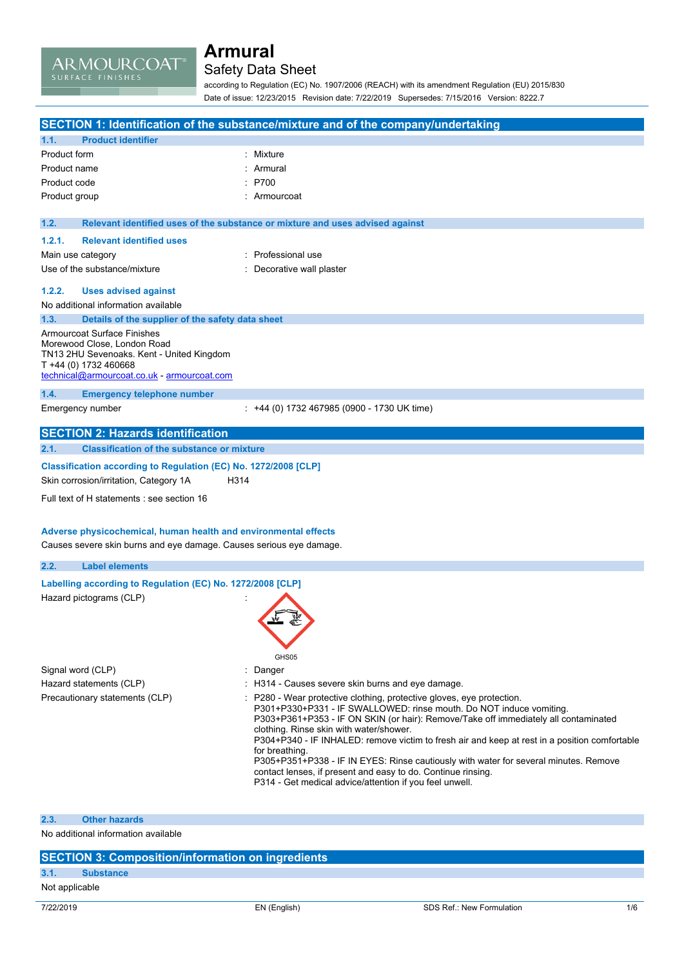ARMOURCOAT®

### Safety Data Sheet

according to Regulation (EC) No. 1907/2006 (REACH) with its amendment Regulation (EU) 2015/830 Date of issue: 12/23/2015 Revision date: 7/22/2019 Supersedes: 7/15/2016 Version: 8222.7

|                                                                     |                                                                     | SECTION 1: Identification of the substance/mixture and of the company/undertaking                                                                          |
|---------------------------------------------------------------------|---------------------------------------------------------------------|------------------------------------------------------------------------------------------------------------------------------------------------------------|
| <b>Product identifier</b><br>1.1.                                   |                                                                     |                                                                                                                                                            |
| Product form                                                        |                                                                     | Mixture                                                                                                                                                    |
| Product name                                                        |                                                                     | Armural                                                                                                                                                    |
| Product code                                                        |                                                                     | P700                                                                                                                                                       |
| Product group                                                       |                                                                     | : Armourcoat                                                                                                                                               |
|                                                                     |                                                                     |                                                                                                                                                            |
| 1.2.                                                                |                                                                     | Relevant identified uses of the substance or mixture and uses advised against                                                                              |
| 1.2.1.                                                              | <b>Relevant identified uses</b>                                     |                                                                                                                                                            |
| Main use category                                                   |                                                                     | : Professional use                                                                                                                                         |
| Use of the substance/mixture                                        |                                                                     | : Decorative wall plaster                                                                                                                                  |
| 1.2.2.                                                              | <b>Uses advised against</b>                                         |                                                                                                                                                            |
| No additional information available                                 |                                                                     |                                                                                                                                                            |
| 1.3.                                                                | Details of the supplier of the safety data sheet                    |                                                                                                                                                            |
| Armourcoat Surface Finishes                                         |                                                                     |                                                                                                                                                            |
| Morewood Close, London Road                                         |                                                                     |                                                                                                                                                            |
|                                                                     | TN13 2HU Sevenoaks. Kent - United Kingdom                           |                                                                                                                                                            |
| T +44 (0) 1732 460668                                               | technical@armourcoat.co.uk - armourcoat.com                         |                                                                                                                                                            |
|                                                                     |                                                                     |                                                                                                                                                            |
| 1.4.                                                                | <b>Emergency telephone number</b>                                   |                                                                                                                                                            |
| Emergency number                                                    |                                                                     | : +44 (0) 1732 467985 (0900 - 1730 UK time)                                                                                                                |
|                                                                     | <b>SECTION 2: Hazards identification</b>                            |                                                                                                                                                            |
| 2.1.                                                                | <b>Classification of the substance or mixture</b>                   |                                                                                                                                                            |
|                                                                     |                                                                     |                                                                                                                                                            |
|                                                                     | Classification according to Regulation (EC) No. 1272/2008 [CLP]     |                                                                                                                                                            |
| Skin corrosion/irritation, Category 1A                              | H314                                                                |                                                                                                                                                            |
|                                                                     | Full text of H statements : see section 16                          |                                                                                                                                                            |
|                                                                     |                                                                     |                                                                                                                                                            |
|                                                                     | Adverse physicochemical, human health and environmental effects     |                                                                                                                                                            |
|                                                                     | Causes severe skin burns and eye damage. Causes serious eye damage. |                                                                                                                                                            |
| 2.2.<br><b>Label elements</b>                                       |                                                                     |                                                                                                                                                            |
|                                                                     |                                                                     |                                                                                                                                                            |
|                                                                     | Labelling according to Regulation (EC) No. 1272/2008 [CLP]          |                                                                                                                                                            |
| Hazard pictograms (CLP)                                             |                                                                     |                                                                                                                                                            |
|                                                                     |                                                                     |                                                                                                                                                            |
|                                                                     |                                                                     |                                                                                                                                                            |
|                                                                     |                                                                     |                                                                                                                                                            |
|                                                                     |                                                                     | GHS05                                                                                                                                                      |
| Signal word (CLP)                                                   |                                                                     | Danger                                                                                                                                                     |
| Hazard statements (CLP)                                             |                                                                     | : H314 - Causes severe skin burns and eye damage.                                                                                                          |
| Precautionary statements (CLP)                                      |                                                                     | P280 - Wear protective clothing, protective gloves, eye protection.                                                                                        |
|                                                                     |                                                                     | P301+P330+P331 - IF SWALLOWED: rinse mouth. Do NOT induce vomiting.<br>P303+P361+P353 - IF ON SKIN (or hair): Remove/Take off immediately all contaminated |
|                                                                     |                                                                     | clothing. Rinse skin with water/shower.                                                                                                                    |
|                                                                     |                                                                     | P304+P340 - IF INHALED: remove victim to fresh air and keep at rest in a position comfortable                                                              |
|                                                                     |                                                                     | for breathing.<br>P305+P351+P338 - IF IN EYES: Rinse cautiously with water for several minutes. Remove                                                     |
|                                                                     |                                                                     | contact lenses, if present and easy to do. Continue rinsing.                                                                                               |
|                                                                     |                                                                     | P314 - Get medical advice/attention if you feel unwell.                                                                                                    |
|                                                                     |                                                                     |                                                                                                                                                            |
|                                                                     |                                                                     |                                                                                                                                                            |
| <b>Other hazards</b><br>2.3.<br>No additional information available |                                                                     |                                                                                                                                                            |
|                                                                     |                                                                     |                                                                                                                                                            |

|                | <b>SECTION 3: Composition/information on ingredients</b> |
|----------------|----------------------------------------------------------|
| 3.1.           | <b>Substance</b>                                         |
| Not applicable |                                                          |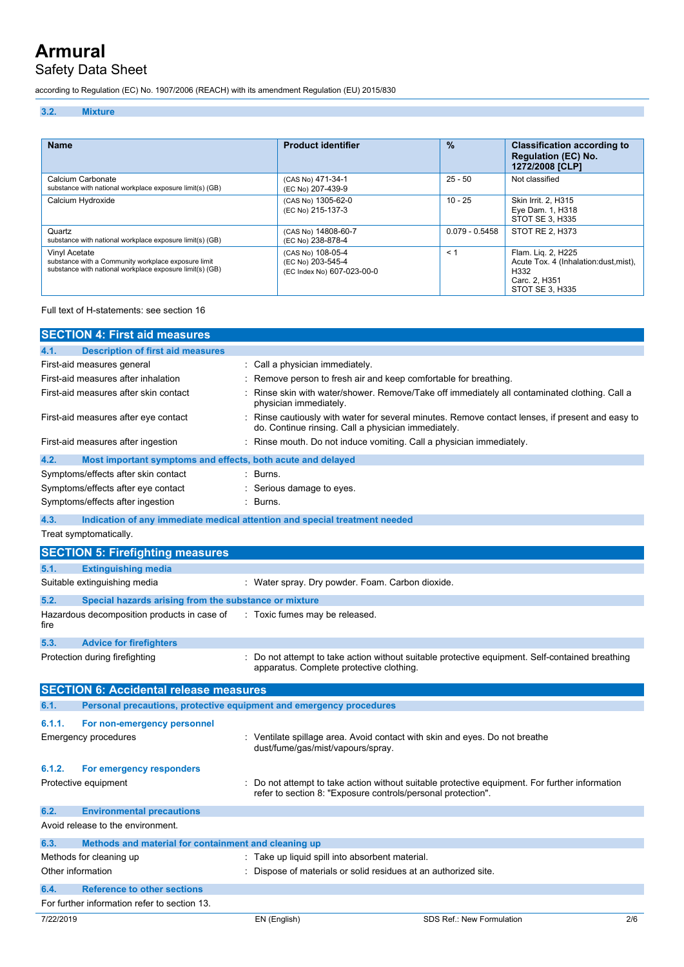### Safety Data Sheet

according to Regulation (EC) No. 1907/2006 (REACH) with its amendment Regulation (EU) 2015/830

#### **3.2. Mixture**

| <b>Name</b>                                                                                                                      | <b>Product identifier</b>                                            | $\%$             | <b>Classification according to</b><br><b>Regulation (EC) No.</b><br>1272/2008 [CLP]                      |
|----------------------------------------------------------------------------------------------------------------------------------|----------------------------------------------------------------------|------------------|----------------------------------------------------------------------------------------------------------|
| Calcium Carbonate<br>substance with national workplace exposure limit(s) (GB)                                                    | (CAS No) 471-34-1<br>(EC No) 207-439-9                               | $25 - 50$        | Not classified                                                                                           |
| Calcium Hydroxide                                                                                                                | (CAS No) 1305-62-0<br>(EC No) 215-137-3                              | $10 - 25$        | Skin Irrit. 2, H315<br>Eye Dam. 1, H318<br>STOT SE 3. H335                                               |
| Quartz<br>substance with national workplace exposure limit(s) (GB)                                                               | (CAS No) 14808-60-7<br>(EC No) 238-878-4                             | $0.079 - 0.5458$ | STOT RE 2. H373                                                                                          |
| Vinyl Acetate<br>substance with a Community workplace exposure limit<br>substance with national workplace exposure limit(s) (GB) | (CAS No) 108-05-4<br>(EC No) 203-545-4<br>(EC Index No) 607-023-00-0 | < 1              | Flam. Lig. 2, H225<br>Acute Tox. 4 (Inhalation: dust, mist),<br>H332<br>Carc. 2, H351<br>STOT SE 3. H335 |

#### Full text of H-statements: see section 16

|                   | <b>SECTION 4: First aid measures</b>                                       |                                                                                                                  |                                                                                                 |     |
|-------------------|----------------------------------------------------------------------------|------------------------------------------------------------------------------------------------------------------|-------------------------------------------------------------------------------------------------|-----|
| 4.1.              | <b>Description of first aid measures</b>                                   |                                                                                                                  |                                                                                                 |     |
|                   | First-aid measures general                                                 | Call a physician immediately.                                                                                    |                                                                                                 |     |
|                   | First-aid measures after inhalation                                        | Remove person to fresh air and keep comfortable for breathing.                                                   |                                                                                                 |     |
|                   | First-aid measures after skin contact                                      | physician immediately.                                                                                           | Rinse skin with water/shower. Remove/Take off immediately all contaminated clothing. Call a     |     |
|                   | First-aid measures after eye contact                                       | do. Continue rinsing. Call a physician immediately.                                                              | Rinse cautiously with water for several minutes. Remove contact lenses, if present and easy to  |     |
|                   | First-aid measures after ingestion                                         | Rinse mouth. Do not induce vomiting. Call a physician immediately.                                               |                                                                                                 |     |
| 4.2.              | Most important symptoms and effects, both acute and delayed                |                                                                                                                  |                                                                                                 |     |
|                   | Symptoms/effects after skin contact                                        | Burns.                                                                                                           |                                                                                                 |     |
|                   | Symptoms/effects after eye contact                                         | Serious damage to eyes.                                                                                          |                                                                                                 |     |
|                   | Symptoms/effects after ingestion                                           | Burns.                                                                                                           |                                                                                                 |     |
| 4.3.              | Indication of any immediate medical attention and special treatment needed |                                                                                                                  |                                                                                                 |     |
|                   | Treat symptomatically.                                                     |                                                                                                                  |                                                                                                 |     |
|                   | <b>SECTION 5: Firefighting measures</b>                                    |                                                                                                                  |                                                                                                 |     |
| 5.1.              | <b>Extinguishing media</b>                                                 |                                                                                                                  |                                                                                                 |     |
|                   | Suitable extinguishing media                                               | : Water spray. Dry powder. Foam. Carbon dioxide.                                                                 |                                                                                                 |     |
| 5.2.              | Special hazards arising from the substance or mixture                      |                                                                                                                  |                                                                                                 |     |
| fire              | Hazardous decomposition products in case of                                | : Toxic fumes may be released.                                                                                   |                                                                                                 |     |
| 5.3.              | <b>Advice for firefighters</b>                                             |                                                                                                                  |                                                                                                 |     |
|                   | Protection during firefighting                                             | apparatus. Complete protective clothing.                                                                         | : Do not attempt to take action without suitable protective equipment. Self-contained breathing |     |
|                   | <b>SECTION 6: Accidental release measures</b>                              |                                                                                                                  |                                                                                                 |     |
| 6.1.              | Personal precautions, protective equipment and emergency procedures        |                                                                                                                  |                                                                                                 |     |
| 6.1.1.            | For non-emergency personnel                                                |                                                                                                                  |                                                                                                 |     |
|                   | <b>Emergency procedures</b>                                                | : Ventilate spillage area. Avoid contact with skin and eyes. Do not breathe<br>dust/fume/gas/mist/vapours/spray. |                                                                                                 |     |
| 6.1.2.            | For emergency responders                                                   |                                                                                                                  |                                                                                                 |     |
|                   | Protective equipment                                                       | refer to section 8: "Exposure controls/personal protection".                                                     | Do not attempt to take action without suitable protective equipment. For further information    |     |
| 6.2.              | <b>Environmental precautions</b>                                           |                                                                                                                  |                                                                                                 |     |
|                   | Avoid release to the environment.                                          |                                                                                                                  |                                                                                                 |     |
| 6.3.              | Methods and material for containment and cleaning up                       |                                                                                                                  |                                                                                                 |     |
|                   | Methods for cleaning up                                                    | : Take up liquid spill into absorbent material.                                                                  |                                                                                                 |     |
| Other information |                                                                            | Dispose of materials or solid residues at an authorized site.                                                    |                                                                                                 |     |
| 6.4.              | <b>Reference to other sections</b>                                         |                                                                                                                  |                                                                                                 |     |
|                   | For further information refer to section 13.                               |                                                                                                                  |                                                                                                 |     |
| 7/22/2019         |                                                                            | EN (English)                                                                                                     | SDS Ref.: New Formulation                                                                       | 2/6 |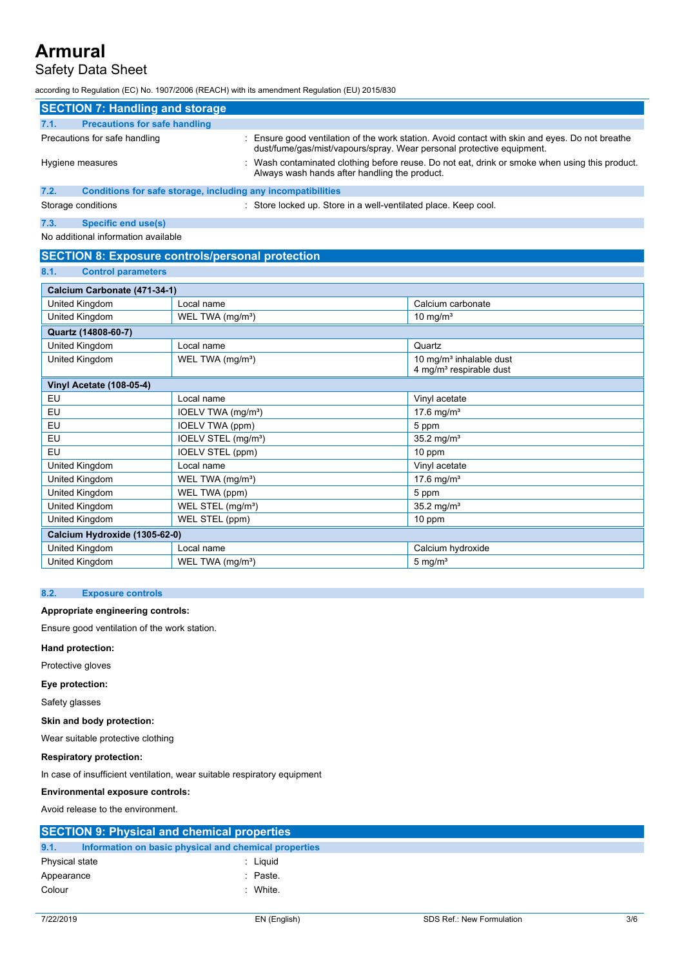### Safety Data Sheet

according to Regulation (EC) No. 1907/2006 (REACH) with its amendment Regulation (EU) 2015/830

|      | <b>SECTION 7: Handling and storage</b>                       |                                                                                                                                                                        |
|------|--------------------------------------------------------------|------------------------------------------------------------------------------------------------------------------------------------------------------------------------|
| 7.1. | <b>Precautions for safe handling</b>                         |                                                                                                                                                                        |
|      | Precautions for safe handling                                | Ensure good ventilation of the work station. Avoid contact with skin and eyes. Do not breathe<br>dust/fume/qas/mist/vapours/spray. Wear personal protective equipment. |
|      | Hygiene measures                                             | : Wash contaminated clothing before reuse. Do not eat, drink or smoke when using this product.<br>Always wash hands after handling the product.                        |
| 7.2. | Conditions for safe storage, including any incompatibilities |                                                                                                                                                                        |
|      | Storage conditions                                           | : Store locked up. Store in a well-ventilated place. Keep cool.                                                                                                        |

### **7.3. Specific end use(s)**

### No additional information available

#### **SECTION 8: Exposure controls/personal protection**

| 8.1. | <b>Control parameters</b> |
|------|---------------------------|

| Calcium Carbonate (471-34-1)    |                                 |                                                                            |
|---------------------------------|---------------------------------|----------------------------------------------------------------------------|
| United Kingdom                  | Local name                      | Calcium carbonate                                                          |
| United Kingdom                  | WEL TWA (mg/m <sup>3</sup> )    | 10 mg/ $m3$                                                                |
| Quartz (14808-60-7)             |                                 |                                                                            |
| United Kingdom                  | Local name                      | Quartz                                                                     |
| United Kingdom                  | WEL TWA (mg/m <sup>3</sup> )    | 10 mg/m <sup>3</sup> inhalable dust<br>4 mg/m <sup>3</sup> respirable dust |
| <b>Vinyl Acetate (108-05-4)</b> |                                 |                                                                            |
| EU                              | Local name                      | Vinyl acetate                                                              |
| EU                              | IOELV TWA (mg/m <sup>3</sup> )  | 17.6 mg/m <sup>3</sup>                                                     |
| EU                              | IOELV TWA (ppm)                 | 5 ppm                                                                      |
| EU                              | IOELV STEL (mg/m <sup>3</sup> ) | $35.2$ mg/m <sup>3</sup>                                                   |
| EU                              | IOELV STEL (ppm)                | 10 ppm                                                                     |
| United Kingdom                  | Local name                      | Vinyl acetate                                                              |
| United Kingdom                  | WEL TWA (mg/m <sup>3</sup> )    | 17.6 mg/m <sup>3</sup>                                                     |
| United Kingdom                  | WEL TWA (ppm)                   | 5 ppm                                                                      |
| United Kingdom                  | WEL STEL (mg/m <sup>3</sup> )   | 35.2 mg/ $m^3$                                                             |
| United Kingdom                  | WEL STEL (ppm)                  | 10 ppm                                                                     |
| Calcium Hydroxide (1305-62-0)   |                                 |                                                                            |
| United Kingdom                  | Local name                      | Calcium hydroxide                                                          |
| United Kingdom                  | WEL TWA (mg/m <sup>3</sup> )    | $5 \text{ mg/m}^3$                                                         |

#### **8.2. Exposure controls**

#### **Appropriate engineering controls:**

Ensure good ventilation of the work station.

#### **Hand protection:**

Protective gloves

### **Eye protection:**

Safety glasses

#### **Skin and body protection:**

Wear suitable protective clothing

#### **Respiratory protection:**

In case of insufficient ventilation, wear suitable respiratory equipment

#### **Environmental exposure controls:**

Avoid release to the environment.

|                | <b>SECTION 9: Physical and chemical properties</b> |                                                       |
|----------------|----------------------------------------------------|-------------------------------------------------------|
| 9.1.           |                                                    | Information on basic physical and chemical properties |
| Physical state |                                                    | Liguid                                                |
| Appearance     |                                                    | : Paste.                                              |
| Colour         |                                                    | : White.                                              |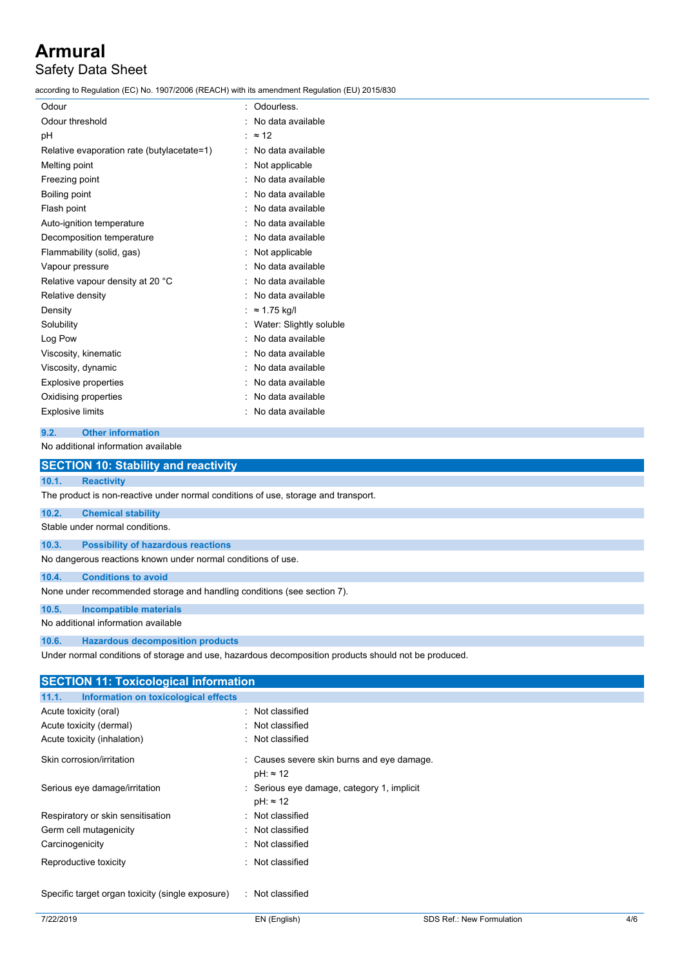### **Armural** Safety Data Sheet

according to Regulation (EC) No. 1907/2006 (REACH) with its amendment Regulation (EU) 2015/830

| Odour                                      | Odourless.              |
|--------------------------------------------|-------------------------|
| Odour threshold                            | No data available       |
| рH                                         | $\approx$ 12            |
| Relative evaporation rate (butylacetate=1) | No data available       |
| Melting point                              | Not applicable          |
| Freezing point                             | No data available       |
| Boiling point                              | No data available       |
| Flash point                                | No data available       |
| Auto-ignition temperature                  | No data available       |
| Decomposition temperature                  | No data available       |
| Flammability (solid, gas)                  | Not applicable          |
| Vapour pressure                            | No data available       |
| Relative vapour density at 20 °C           | No data available       |
| Relative density                           | No data available       |
| Density                                    | $\approx$ 1.75 kg/l     |
| Solubility                                 | Water: Slightly soluble |
| Log Pow                                    | No data available       |
| Viscosity, kinematic                       | No data available       |
| Viscosity, dynamic                         | No data available       |
| <b>Explosive properties</b>                | No data available       |
| Oxidising properties                       | No data available       |
| <b>Explosive limits</b>                    | No data available       |

#### **9.2. Other information**

No additional information available

|       | <b>SECTION 10: Stability and reactivity</b>                                        |                                                                                                      |
|-------|------------------------------------------------------------------------------------|------------------------------------------------------------------------------------------------------|
| 10.1. | <b>Reactivity</b>                                                                  |                                                                                                      |
|       | The product is non-reactive under normal conditions of use, storage and transport. |                                                                                                      |
| 10.2. | <b>Chemical stability</b>                                                          |                                                                                                      |
|       | Stable under normal conditions.                                                    |                                                                                                      |
| 10.3. | <b>Possibility of hazardous reactions</b>                                          |                                                                                                      |
|       | No dangerous reactions known under normal conditions of use.                       |                                                                                                      |
| 10.4. | <b>Conditions to avoid</b>                                                         |                                                                                                      |
|       | None under recommended storage and handling conditions (see section 7).            |                                                                                                      |
| 10.5. | <b>Incompatible materials</b>                                                      |                                                                                                      |
|       | No additional information available                                                |                                                                                                      |
| 10.6. | <b>Hazardous decomposition products</b>                                            |                                                                                                      |
|       |                                                                                    | Under normal conditions of storage and use, hazardous decomposition products should not be produced. |
|       | <b>SECTION 11: Toxicological information</b>                                       |                                                                                                      |
| 11.1. | Information on toxicological effects                                               |                                                                                                      |
|       | Acute toxicity (oral)                                                              | : Not classified                                                                                     |
|       | Acute toxicity (dermal)                                                            | : Not classified                                                                                     |
|       | Apute terripity (inhelation)                                                       | . Not algooified                                                                                     |

| Acute toxicity (inhalation)       | : Not classified                                               |
|-----------------------------------|----------------------------------------------------------------|
| Skin corrosion/irritation         | : Causes severe skin burns and eye damage.<br>$pH: \approx 12$ |
| Serious eye damage/irritation     | : Serious eye damage, category 1, implicit<br>$pH: \approx 12$ |
| Respiratory or skin sensitisation | : Not classified                                               |
| Germ cell mutagenicity            | : Not classified                                               |
| Carcinogenicity                   | : Not classified                                               |
| Reproductive toxicity             | : Not classified                                               |

Specific target organ toxicity (single exposure) : Not classified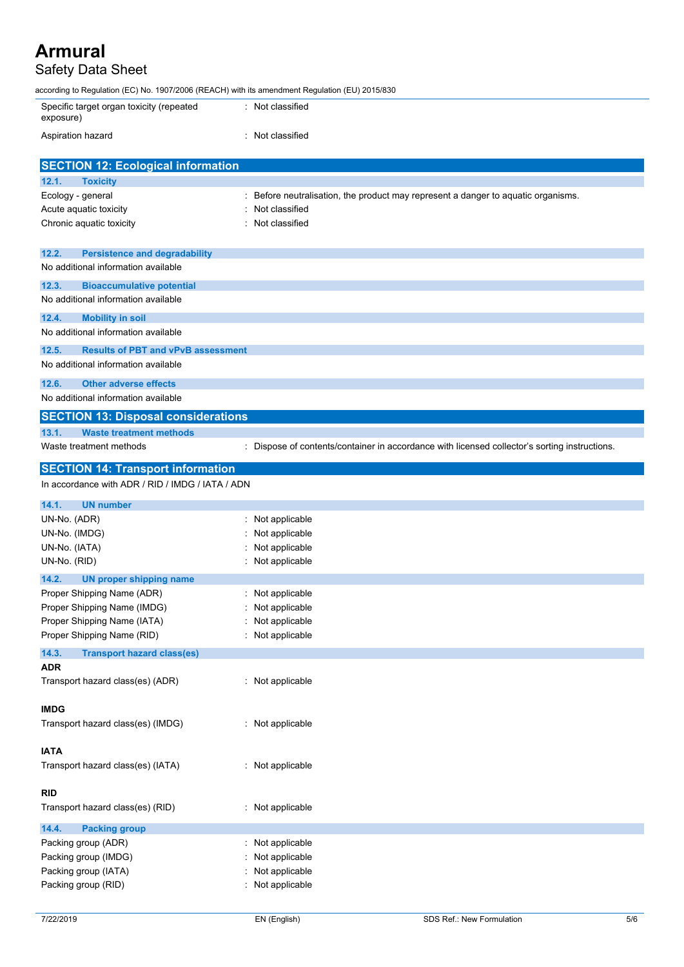### Safety Data Sheet

| according to Regulation (EC) No. 1907/2006 (REACH) with its amendment Regulation (EU) 2015/830 |                                                                                               |
|------------------------------------------------------------------------------------------------|-----------------------------------------------------------------------------------------------|
| Specific target organ toxicity (repeated<br>exposure)                                          | : Not classified                                                                              |
| Aspiration hazard                                                                              | : Not classified                                                                              |
| <b>SECTION 12: Ecological information</b>                                                      |                                                                                               |
| 12.1.<br><b>Toxicity</b>                                                                       |                                                                                               |
| Ecology - general                                                                              | : Before neutralisation, the product may represent a danger to aquatic organisms.             |
| Acute aquatic toxicity                                                                         | Not classified                                                                                |
| Chronic aquatic toxicity                                                                       | : Not classified                                                                              |
| 12.2.<br><b>Persistence and degradability</b>                                                  |                                                                                               |
| No additional information available                                                            |                                                                                               |
| 12.3.<br><b>Bioaccumulative potential</b>                                                      |                                                                                               |
| No additional information available                                                            |                                                                                               |
| 12.4.<br><b>Mobility in soil</b>                                                               |                                                                                               |
| No additional information available                                                            |                                                                                               |
| 12.5.<br><b>Results of PBT and vPvB assessment</b>                                             |                                                                                               |
| No additional information available                                                            |                                                                                               |
| 12.6.<br><b>Other adverse effects</b>                                                          |                                                                                               |
| No additional information available                                                            |                                                                                               |
| <b>SECTION 13: Disposal considerations</b>                                                     |                                                                                               |
| 13.1.<br><b>Waste treatment methods</b>                                                        |                                                                                               |
|                                                                                                |                                                                                               |
| Waste treatment methods                                                                        | : Dispose of contents/container in accordance with licensed collector's sorting instructions. |
|                                                                                                |                                                                                               |
| <b>SECTION 14: Transport information</b><br>In accordance with ADR / RID / IMDG / IATA / ADN   |                                                                                               |
|                                                                                                |                                                                                               |
| 14.1.<br><b>UN number</b>                                                                      |                                                                                               |
| UN-No. (ADR)                                                                                   | : Not applicable                                                                              |
| UN-No. (IMDG)                                                                                  | Not applicable                                                                                |
| UN-No. (IATA)                                                                                  | Not applicable                                                                                |
| UN-No. (RID)                                                                                   | : Not applicable                                                                              |
| 14.2.<br><b>UN proper shipping name</b>                                                        |                                                                                               |
| Proper Shipping Name (ADR)                                                                     | Not applicable                                                                                |
| Proper Shipping Name (IMDG)                                                                    | : Not applicable                                                                              |
| Proper Shipping Name (IATA)<br>Proper Shipping Name (RID)                                      | : Not applicable<br>: Not applicable                                                          |
|                                                                                                |                                                                                               |
| 14.3.<br><b>Transport hazard class(es)</b>                                                     |                                                                                               |
| <b>ADR</b><br>Transport hazard class(es) (ADR)                                                 | : Not applicable                                                                              |
|                                                                                                |                                                                                               |
| <b>IMDG</b>                                                                                    |                                                                                               |
| Transport hazard class(es) (IMDG)                                                              | : Not applicable                                                                              |
| <b>IATA</b>                                                                                    |                                                                                               |
| Transport hazard class(es) (IATA)                                                              | : Not applicable                                                                              |
| <b>RID</b>                                                                                     |                                                                                               |

Packing group (ADR) : Not applicable

**14.4. Packing group**